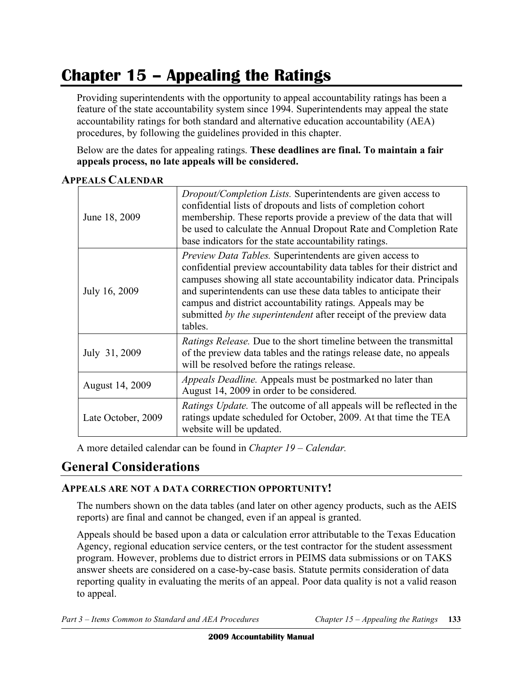# **Chapter 15 – Appealing the Ratings**

 Providing superintendents with the opportunity to appeal accountability ratings has been a feature of the state accountability system since 1994. Superintendents may appeal the state accountability ratings for both standard and alternative education accountability (AEA) procedures, by following the guidelines provided in this chapter.

 Below are the dates for appealing ratings. **These deadlines are final. To maintain a fair appeals process, no late appeals will be considered.** 

| June 18, 2009      | <i>Dropout/Completion Lists.</i> Superintendents are given access to<br>confidential lists of dropouts and lists of completion cohort<br>membership. These reports provide a preview of the data that will<br>be used to calculate the Annual Dropout Rate and Completion Rate<br>base indicators for the state accountability ratings.                                                                                       |
|--------------------|-------------------------------------------------------------------------------------------------------------------------------------------------------------------------------------------------------------------------------------------------------------------------------------------------------------------------------------------------------------------------------------------------------------------------------|
| July 16, 2009      | Preview Data Tables. Superintendents are given access to<br>confidential preview accountability data tables for their district and<br>campuses showing all state accountability indicator data. Principals<br>and superintendents can use these data tables to anticipate their<br>campus and district accountability ratings. Appeals may be<br>submitted by the superintendent after receipt of the preview data<br>tables. |
| July 31, 2009      | <i>Ratings Release.</i> Due to the short timeline between the transmittal<br>of the preview data tables and the ratings release date, no appeals<br>will be resolved before the ratings release.                                                                                                                                                                                                                              |
| August 14, 2009    | <i>Appeals Deadline.</i> Appeals must be postmarked no later than<br>August 14, 2009 in order to be considered.                                                                                                                                                                                                                                                                                                               |
| Late October, 2009 | <i>Ratings Update.</i> The outcome of all appeals will be reflected in the<br>ratings update scheduled for October, 2009. At that time the TEA<br>website will be updated.                                                                                                                                                                                                                                                    |

#### **APPEALS CALENDAR**

A more detailed calendar can be found in *Chapter 19 – Calendar.* 

# **General Considerations**

#### **APPEALS ARE NOT A DATA CORRECTION OPPORTUNITY!**

The numbers shown on the data tables (and later on other agency products, such as the AEIS reports) are final and cannot be changed, even if an appeal is granted.

Appeals should be based upon a data or calculation error attributable to the Texas Education Agency, regional education service centers, or the test contractor for the student assessment program. However, problems due to district errors in PEIMS data submissions or on TAKS answer sheets are considered on a case-by-case basis. Statute permits consideration of data reporting quality in evaluating the merits of an appeal. Poor data quality is not a valid reason to appeal.

*Part 3 – Items Common to Standard and AEA Procedures Chapter 15 – Appealing the Ratings* **133**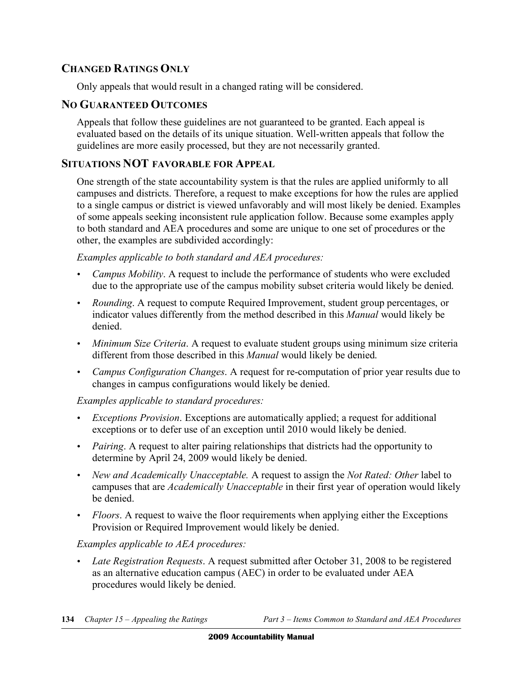## **CHANGED RATINGS ONLY**

Only appeals that would result in a changed rating will be considered.

#### **NO GUARANTEED OUTCOMES**

Appeals that follow these guidelines are not guaranteed to be granted. Each appeal is evaluated based on the details of its unique situation. Well-written appeals that follow the guidelines are more easily processed, but they are not necessarily granted.

#### **SITUATIONS NOT FAVORABLE FOR APPEAL**

One strength of the state accountability system is that the rules are applied uniformly to all campuses and districts. Therefore, a request to make exceptions for how the rules are applied to a single campus or district is viewed unfavorably and will most likely be denied. Examples of some appeals seeking inconsistent rule application follow. Because some examples apply to both standard and AEA procedures and some are unique to one set of procedures or the other, the examples are subdivided accordingly:

*Examples applicable to both standard and AEA procedures:* 

- *Campus Mobility*. A request to include the performance of students who were excluded due to the appropriate use of the campus mobility subset criteria would likely be denied.
- • *Rounding*. A request to compute Required Improvement, student group percentages, or indicator values differently from the method described in this *Manual* would likely be denied.
- *Minimum Size Criteria*. A request to evaluate student groups using minimum size criteria different from those described in this *Manual* would likely be denied.
- • *Campus Configuration Changes*. A request for re-computation of prior year results due to changes in campus configurations would likely be denied.

#### *Examples applicable to standard procedures:*

- • *Exceptions Provision*. Exceptions are automatically applied; a request for additional exceptions or to defer use of an exception until 2010 would likely be denied.
- *Pairing*. A request to alter pairing relationships that districts had the opportunity to determine by April 24, 2009 would likely be denied.
- • *New and Academically Unacceptable.* A request to assign the *Not Rated: Other* label to campuses that are *Academically Unacceptable* in their first year of operation would likely be denied.
- *Floors*. A request to waive the floor requirements when applying either the Exceptions Provision or Required Improvement would likely be denied.

#### *Examples applicable to AEA procedures:*

• *Late Registration Requests*. A request submitted after October 31, 2008 to be registered as an alternative education campus (AEC) in order to be evaluated under AEA procedures would likely be denied.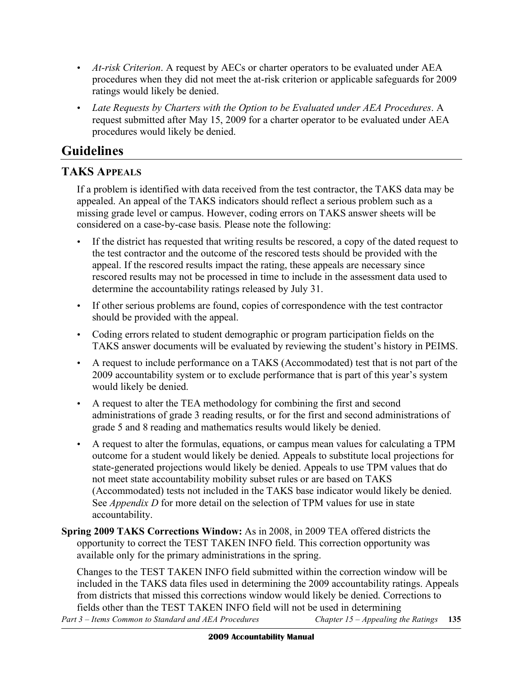- • *At-risk Criterion*. A request by AECs or charter operators to be evaluated under AEA procedures when they did not meet the at-risk criterion or applicable safeguards for 2009 ratings would likely be denied.
- • *Late Requests by Charters with the Option to be Evaluated under AEA Procedures*. A request submitted after May 15, 2009 for a charter operator to be evaluated under AEA procedures would likely be denied.

# **Guidelines**

# **TAKS APPEALS**

If a problem is identified with data received from the test contractor, the TAKS data may be appealed. An appeal of the TAKS indicators should reflect a serious problem such as a missing grade level or campus. However, coding errors on TAKS answer sheets will be considered on a case-by-case basis. Please note the following:

- If the district has requested that writing results be rescored, a copy of the dated request to the test contractor and the outcome of the rescored tests should be provided with the appeal. If the rescored results impact the rating, these appeals are necessary since rescored results may not be processed in time to include in the assessment data used to determine the accountability ratings released by July 31.
- If other serious problems are found, copies of correspondence with the test contractor should be provided with the appeal.
- Coding errors related to student demographic or program participation fields on the TAKS answer documents will be evaluated by reviewing the student's history in PEIMS.
- • A request to include performance on a TAKS (Accommodated) test that is not part of the 2009 accountability system or to exclude performance that is part of this year's system would likely be denied.
- • A request to alter the TEA methodology for combining the first and second administrations of grade 3 reading results, or for the first and second administrations of grade 5 and 8 reading and mathematics results would likely be denied.
- • A request to alter the formulas, equations, or campus mean values for calculating a TPM outcome for a student would likely be denied. Appeals to substitute local projections for state-generated projections would likely be denied. Appeals to use TPM values that do not meet state accountability mobility subset rules or are based on TAKS (Accommodated) tests not included in the TAKS base indicator would likely be denied. See *Appendix D* for more detail on the selection of TPM values for use in state accountability.
- **Spring 2009 TAKS Corrections Window:** As in 2008, in 2009 TEA offered districts the opportunity to correct the TEST TAKEN INFO field. This correction opportunity was available only for the primary administrations in the spring.

Changes to the TEST TAKEN INFO field submitted within the correction window will be included in the TAKS data files used in determining the 2009 accountability ratings. Appeals from districts that missed this corrections window would likely be denied. Corrections to fields other than the TEST TAKEN INFO field will not be used in determining *Part 3 – Items Common to Standard and AEA Procedures Chapter 15 – Appealing the Ratings* **135**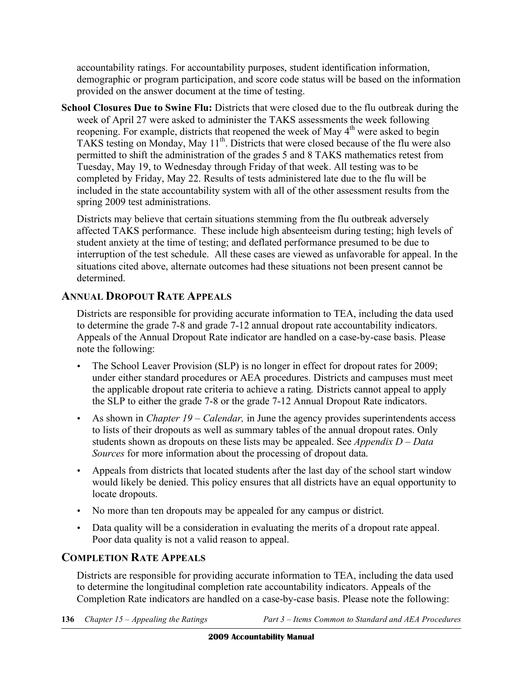accountability ratings. For accountability purposes, student identification information, demographic or program participation, and score code status will be based on the information provided on the answer document at the time of testing.

**School Closures Due to Swine Flu:** Districts that were closed due to the flu outbreak during the week of April 27 were asked to administer the TAKS assessments the week following reopening. For example, districts that reopened the week of May  $4<sup>th</sup>$  were asked to begin TAKS testing on Monday, May 11<sup>th</sup>. Districts that were closed because of the flu were also permitted to shift the administration of the grades 5 and 8 TAKS mathematics retest from Tuesday, May 19, to Wednesday through Friday of that week. All testing was to be completed by Friday, May 22. Results of tests administered late due to the flu will be included in the state accountability system with all of the other assessment results from the spring 2009 test administrations.

Districts may believe that certain situations stemming from the flu outbreak adversely affected TAKS performance. These include high absenteeism during testing; high levels of student anxiety at the time of testing; and deflated performance presumed to be due to interruption of the test schedule. All these cases are viewed as unfavorable for appeal. In the situations cited above, alternate outcomes had these situations not been present cannot be determined.

#### **ANNUAL DROPOUT RATE APPEALS**

Districts are responsible for providing accurate information to TEA, including the data used to determine the grade 7-8 and grade 7-12 annual dropout rate accountability indicators. Appeals of the Annual Dropout Rate indicator are handled on a case-by-case basis. Please note the following:

- The School Leaver Provision (SLP) is no longer in effect for dropout rates for 2009; under either standard procedures or AEA procedures. Districts and campuses must meet the applicable dropout rate criteria to achieve a rating*.* Districts cannot appeal to apply the SLP to either the grade 7-8 or the grade 7-12 Annual Dropout Rate indicators.
- As shown in *Chapter 19 Calendar*, in June the agency provides superintendents access to lists of their dropouts as well as summary tables of the annual dropout rates. Only students shown as dropouts on these lists may be appealed. See *Appendix D – Data Sources* for more information about the processing of dropout data.
- Appeals from districts that located students after the last day of the school start window would likely be denied. This policy ensures that all districts have an equal opportunity to locate dropouts.
- No more than ten dropouts may be appealed for any campus or district.
- Data quality will be a consideration in evaluating the merits of a dropout rate appeal. Poor data quality is not a valid reason to appeal.

#### **COMPLETION RATE APPEALS**

Districts are responsible for providing accurate information to TEA, including the data used to determine the longitudinal completion rate accountability indicators. Appeals of the Completion Rate indicators are handled on a case-by-case basis. Please note the following: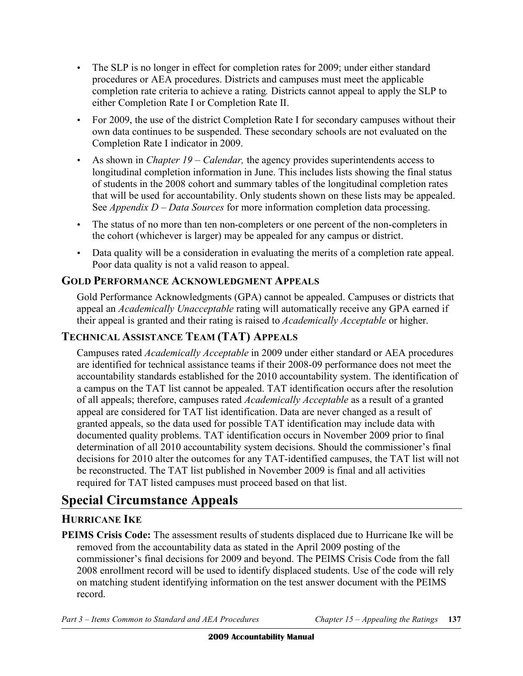- The SLP is no longer in effect for completion rates for 2009; under either standard procedures or AEA procedures. Districts and campuses must meet the applicable completion rate criteria to achieve a rating*.* Districts cannot appeal to apply the SLP to either Completion Rate I or Completion Rate II.
- For 2009, the use of the district Completion Rate I for secondary campuses without their own data continues to be suspended. These secondary schools are not evaluated on the Completion Rate I indicator in 2009.
- As shown in *Chapter 19 Calendar*, the agency provides superintendents access to longitudinal completion information in June. This includes lists showing the final status of students in the 2008 cohort and summary tables of the longitudinal completion rates that will be used for accountability. Only students shown on these lists may be appealed. See *Appendix D – Data Sources* for more information completion data processing.
- The status of no more than ten non-completers or one percent of the non-completers in the cohort (whichever is larger) may be appealed for any campus or district.
- Data quality will be a consideration in evaluating the merits of a completion rate appeal. Poor data quality is not a valid reason to appeal.

# **GOLD PERFORMANCE ACKNOWLEDGMENT APPEALS**

Gold Performance Acknowledgments (GPA) cannot be appealed. Campuses or districts that appeal an *Academically Unacceptable* rating will automatically receive any GPA earned if their appeal is granted and their rating is raised to *Academically Acceptable* or higher.

# **TECHNICAL ASSISTANCE TEAM (TAT) APPEALS**

Campuses rated *Academically Acceptable* in 2009 under either standard or AEA procedures are identified for technical assistance teams if their 2008-09 performance does not meet the accountability standards established for the 2010 accountability system. The identification of a campus on the TAT list cannot be appealed. TAT identification occurs after the resolution of all appeals; therefore, campuses rated *Academically Acceptable* as a result of a granted appeal are considered for TAT list identification. Data are never changed as a result of granted appeals, so the data used for possible TAT identification may include data with documented quality problems. TAT identification occurs in November 2009 prior to final determination of all 2010 accountability system decisions. Should the commissioner's final decisions for 2010 alter the outcomes for any TAT-identified campuses, the TAT list will not be reconstructed. The TAT list published in November 2009 is final and all activities required for TAT listed campuses must proceed based on that list.

# **Special Circumstance Appeals**

# **HURRICANE IKE**

**PEIMS Crisis Code:** The assessment results of students displaced due to Hurricane Ike will be removed from the accountability data as stated in the April 2009 posting of the commissioner's final decisions for 2009 and beyond. The PEIMS Crisis Code from the fall 2008 enrollment record will be used to identify displaced students. Use of the code will rely on matching student identifying information on the test answer document with the PEIMS record.

*Part 3 – Items Common to Standard and AEA Procedures Chapter 15 – Appealing the Ratings* **137**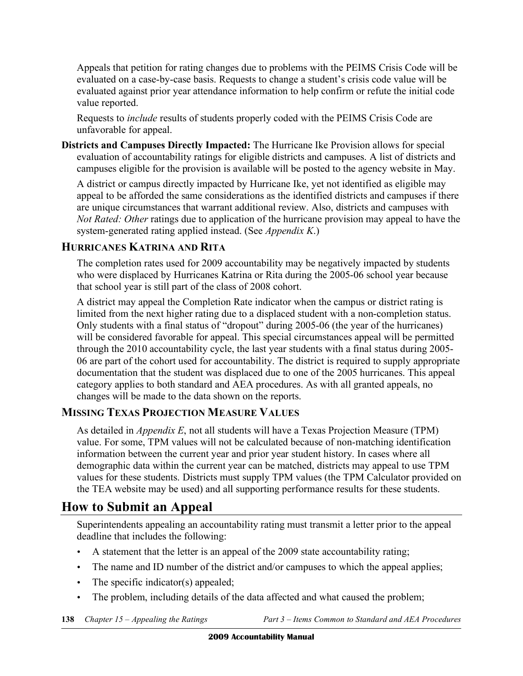Appeals that petition for rating changes due to problems with the PEIMS Crisis Code will be evaluated on a case-by-case basis. Requests to change a student's crisis code value will be evaluated against prior year attendance information to help confirm or refute the initial code value reported.

Requests to *include* results of students properly coded with the PEIMS Crisis Code are unfavorable for appeal.

**Districts and Campuses Directly Impacted:** The Hurricane Ike Provision allows for special evaluation of accountability ratings for eligible districts and campuses. A list of districts and campuses eligible for the provision is available will be posted to the agency website in May.

A district or campus directly impacted by Hurricane Ike, yet not identified as eligible may appeal to be afforded the same considerations as the identified districts and campuses if there are unique circumstances that warrant additional review. Also, districts and campuses with *Not Rated: Other* ratings due to application of the hurricane provision may appeal to have the system-generated rating applied instead. (See *Appendix K*.)

## **HURRICANES KATRINA AND RITA**

The completion rates used for 2009 accountability may be negatively impacted by students who were displaced by Hurricanes Katrina or Rita during the 2005-06 school year because that school year is still part of the class of 2008 cohort.

A district may appeal the Completion Rate indicator when the campus or district rating is limited from the next higher rating due to a displaced student with a non-completion status. Only students with a final status of "dropout" during 2005-06 (the year of the hurricanes) will be considered favorable for appeal. This special circumstances appeal will be permitted through the 2010 accountability cycle, the last year students with a final status during 2005- 06 are part of the cohort used for accountability. The district is required to supply appropriate documentation that the student was displaced due to one of the 2005 hurricanes. This appeal category applies to both standard and AEA procedures. As with all granted appeals, no changes will be made to the data shown on the reports.

# **MISSING TEXAS PROJECTION MEASURE VALUES**

As detailed in *Appendix E*, not all students will have a Texas Projection Measure (TPM) value. For some, TPM values will not be calculated because of non-matching identification information between the current year and prior year student history. In cases where all demographic data within the current year can be matched, districts may appeal to use TPM values for these students. Districts must supply TPM values (the TPM Calculator provided on the TEA website may be used) and all supporting performance results for these students.

# **How to Submit an Appeal**

Superintendents appealing an accountability rating must transmit a letter prior to the appeal deadline that includes the following:

- A statement that the letter is an appeal of the 2009 state accountability rating;
- The name and ID number of the district and/or campuses to which the appeal applies;
- The specific indicator(s) appealed;
- The problem, including details of the data affected and what caused the problem;

**138** *Chapter 15 – Appealing the Ratings Part 3 – Items Common to Standard and AEA Procedures*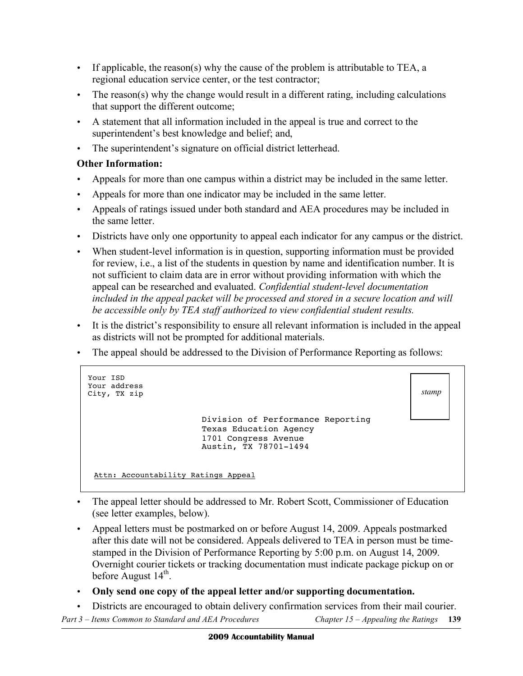- If applicable, the reason(s) why the cause of the problem is attributable to TEA, a regional education service center, or the test contractor;
- The reason(s) why the change would result in a different rating, including calculations that support the different outcome;
- • A statement that all information included in the appeal is true and correct to the superintendent's best knowledge and belief; and,
- The superintendent's signature on official district letterhead.

#### **Other Information:**

- Appeals for more than one campus within a district may be included in the same letter.
- Appeals for more than one indicator may be included in the same letter.
- • Appeals of ratings issued under both standard and AEA procedures may be included in the same letter.
- • Districts have only one opportunity to appeal each indicator for any campus or the district.
- When student-level information is in question, supporting information must be provided for review, i.e., a list of the students in question by name and identification number. It is not sufficient to claim data are in error without providing information with which the appeal can be researched and evaluated. *Confidential student-level documentation included in the appeal packet will be processed and stored in a secure location and will be accessible only by TEA staff authorized to view confidential student results.*
- • It is the district's responsibility to ensure all relevant information is included in the appeal as districts will not be prompted for additional materials.
- The appeal should be addressed to the Division of Performance Reporting as follows:

```
Your ISD 
Your address 
City, TX zip 
                            Division of Performance Reporting 
                                                                                    stamp 
                            Texas Education Agency<br>1701 Congress Avenue
                            Austin, TX 78701-1494
 Attn: Accountability Ratings Appeal
```
- The appeal letter should be addressed to Mr. Robert Scott, Commissioner of Education (see letter examples, below).
- Appeal letters must be postmarked on or before August 14, 2009. Appeals postmarked after this date will not be considered. Appeals delivered to TEA in person must be timestamped in the Division of Performance Reporting by 5:00 p.m. on August 14, 2009. Overnight courier tickets or tracking documentation must indicate package pickup on or before August  $14<sup>th</sup>$ .
- • **Only send one copy of the appeal letter and/or supporting documentation.**
- • Districts are encouraged to obtain delivery confirmation services from their mail courier.

*Part 3 – Items Common to Standard and AEA Procedures Chapter 15 – Appealing the Ratings* **139**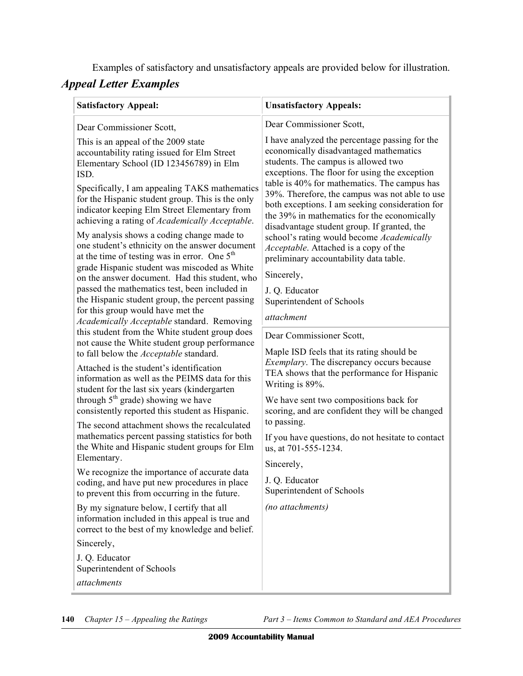Examples of satisfactory and unsatisfactory appeals are provided below for illustration.

## *Appeal Letter Examples*

| <b>Satisfactory Appeal:</b>                                                                                                                                                                                                                                                                                                                                                                                                                                                                                                                                                                                                                                                                                                                                                                                                                                                                                          | <b>Unsatisfactory Appeals:</b>                                                                                                                                                                                                                                                                                                                                                                                                                                                                                                                                                                                                                                                                         |
|----------------------------------------------------------------------------------------------------------------------------------------------------------------------------------------------------------------------------------------------------------------------------------------------------------------------------------------------------------------------------------------------------------------------------------------------------------------------------------------------------------------------------------------------------------------------------------------------------------------------------------------------------------------------------------------------------------------------------------------------------------------------------------------------------------------------------------------------------------------------------------------------------------------------|--------------------------------------------------------------------------------------------------------------------------------------------------------------------------------------------------------------------------------------------------------------------------------------------------------------------------------------------------------------------------------------------------------------------------------------------------------------------------------------------------------------------------------------------------------------------------------------------------------------------------------------------------------------------------------------------------------|
| Dear Commissioner Scott,<br>This is an appeal of the 2009 state<br>accountability rating issued for Elm Street<br>Elementary School (ID 123456789) in Elm<br>ISD.<br>Specifically, I am appealing TAKS mathematics<br>for the Hispanic student group. This is the only<br>indicator keeping Elm Street Elementary from<br>achieving a rating of Academically Acceptable.<br>My analysis shows a coding change made to<br>one student's ethnicity on the answer document<br>at the time of testing was in error. One $5th$<br>grade Hispanic student was miscoded as White<br>on the answer document. Had this student, who<br>passed the mathematics test, been included in<br>the Hispanic student group, the percent passing<br>for this group would have met the<br>Academically Acceptable standard. Removing<br>this student from the White student group does<br>not cause the White student group performance | Dear Commissioner Scott,<br>I have analyzed the percentage passing for the<br>economically disadvantaged mathematics<br>students. The campus is allowed two<br>exceptions. The floor for using the exception<br>table is 40% for mathematics. The campus has<br>39%. Therefore, the campus was not able to use<br>both exceptions. I am seeking consideration for<br>the 39% in mathematics for the economically<br>disadvantage student group. If granted, the<br>school's rating would become Academically<br>Acceptable. Attached is a copy of the<br>preliminary accountability data table.<br>Sincerely,<br>J. Q. Educator<br>Superintendent of Schools<br>attachment<br>Dear Commissioner Scott, |
| to fall below the <i>Acceptable</i> standard.<br>Attached is the student's identification<br>information as well as the PEIMS data for this<br>student for the last six years (kindergarten<br>through $5th$ grade) showing we have<br>consistently reported this student as Hispanic.<br>The second attachment shows the recalculated<br>mathematics percent passing statistics for both<br>the White and Hispanic student groups for Elm<br>Elementary.<br>We recognize the importance of accurate data<br>coding, and have put new procedures in place<br>to prevent this from occurring in the future.<br>By my signature below, I certify that all<br>information included in this appeal is true and<br>correct to the best of my knowledge and belief.<br>Sincerely,<br>J. Q. Educator<br>Superintendent of Schools<br>attachments                                                                            | Maple ISD feels that its rating should be<br><i>Exemplary</i> . The discrepancy occurs because<br>TEA shows that the performance for Hispanic<br>Writing is 89%.<br>We have sent two compositions back for<br>scoring, and are confident they will be changed<br>to passing.<br>If you have questions, do not hesitate to contact<br>us, at 701-555-1234.<br>Sincerely,<br>J. Q. Educator<br>Superintendent of Schools<br>(no attachments)                                                                                                                                                                                                                                                             |

**140** *Chapter 15 – Appealing the Ratings Part 3 – Items Common to Standard and AEA Procedures*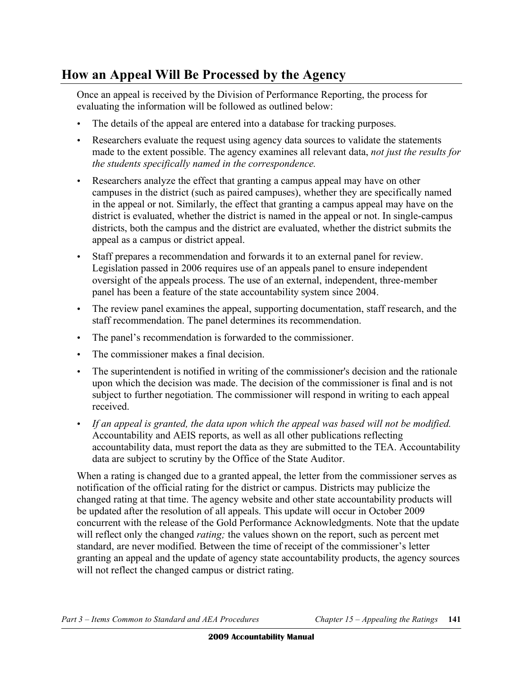# **How an Appeal Will Be Processed by the Agency**

Once an appeal is received by the Division of Performance Reporting, the process for evaluating the information will be followed as outlined below:

- The details of the appeal are entered into a database for tracking purposes.
- Researchers evaluate the request using agency data sources to validate the statements made to the extent possible. The agency examines all relevant data, *not just the results for the students specifically named in the correspondence.*
- Researchers analyze the effect that granting a campus appeal may have on other campuses in the district (such as paired campuses), whether they are specifically named in the appeal or not. Similarly, the effect that granting a campus appeal may have on the district is evaluated, whether the district is named in the appeal or not. In single-campus districts, both the campus and the district are evaluated, whether the district submits the appeal as a campus or district appeal.
- • Staff prepares a recommendation and forwards it to an external panel for review. Legislation passed in 2006 requires use of an appeals panel to ensure independent oversight of the appeals process. The use of an external, independent, three-member panel has been a feature of the state accountability system since 2004.
- The review panel examines the appeal, supporting documentation, staff research, and the staff recommendation. The panel determines its recommendation.
- The panel's recommendation is forwarded to the commissioner.
- The commissioner makes a final decision.
- The superintendent is notified in writing of the commissioner's decision and the rationale upon which the decision was made. The decision of the commissioner is final and is not subject to further negotiation. The commissioner will respond in writing to each appeal received.
- • *If an appeal is granted, the data upon which the appeal was based will not be modified.*  Accountability and AEIS reports, as well as all other publications reflecting accountability data, must report the data as they are submitted to the TEA. Accountability data are subject to scrutiny by the Office of the State Auditor.

When a rating is changed due to a granted appeal, the letter from the commissioner serves as notification of the official rating for the district or campus. Districts may publicize the changed rating at that time. The agency website and other state accountability products will be updated after the resolution of all appeals. This update will occur in October 2009 concurrent with the release of the Gold Performance Acknowledgments. Note that the update will reflect only the changed *rating;* the values shown on the report, such as percent met standard, are never modified. Between the time of receipt of the commissioner's letter granting an appeal and the update of agency state accountability products, the agency sources will not reflect the changed campus or district rating.